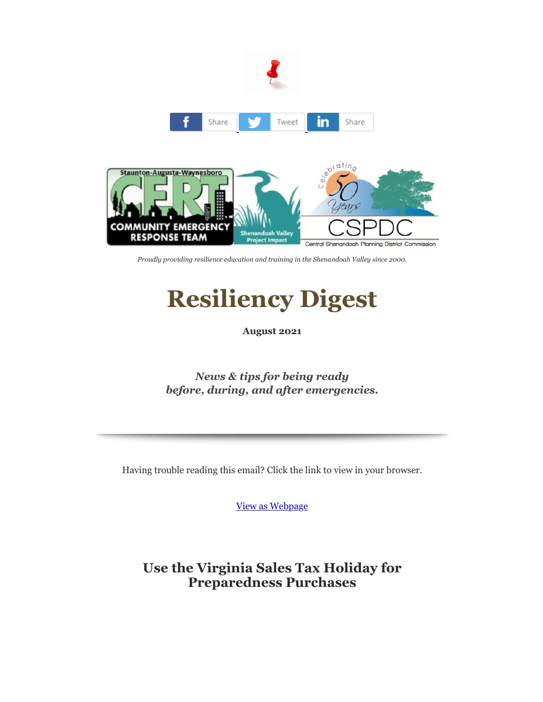

*Proudly providing resilience education and training in the Shenandoah Valley since 2000.*

# **Resiliency Digest**

**August 2021**

*News & tips for being ready before, during, and after emergencies.*

Having trouble reading this email? Click the link to view in your browser.

[View as Webpage](https://r20.rs6.net/tn.jsp?f=001cn0-pohNkYbfVC-bbpBkg0A663iZy0MxwbJzwADTKl9tf5lOMLS6PT4-oenaHdSlAEEOfT-hjRf12_E_fleaxHiH3vx8AoCyYi_TCP2fWvnPC34-LoUOVtU1WJW-_GchYR4Q6Eq_JVOmK7R79x2eqQ==&c=TtZaL9h96a30VBd9mx76JZADkoPVH7dbRc9jCUz2iBU4KpEjZizf2A==&ch=rFlB0cYPwdxBSJ9Xmrnu6cHoRAro2q5UrxURE-JjLBL7wZmz3R3oaw==)

**Use the Virginia Sales Tax Holiday for Preparedness Purchases**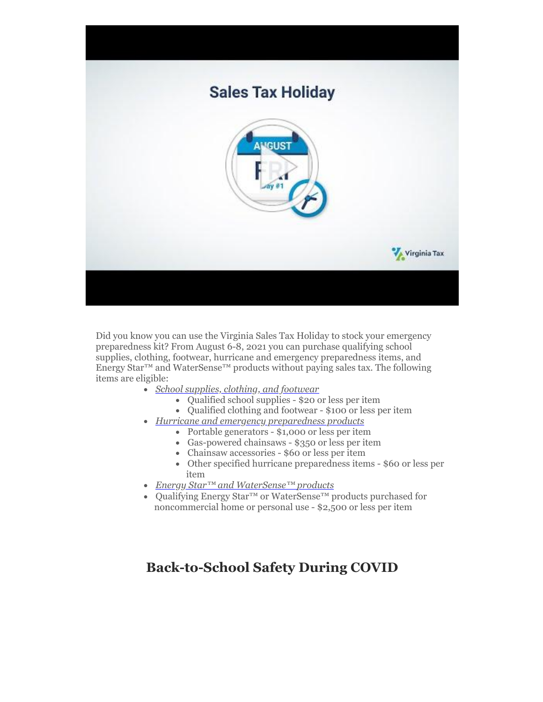

Did you know you can use the Virginia Sales Tax Holiday to stock your emergency preparedness kit? From August 6-8, 2021 you can purchase qualifying school supplies, clothing, footwear, hurricane and emergency preparedness items, and Energy Star™ and WaterSense™ products without paying sales tax. The following items are eligible:

- · *[School supplies, clothing, and footwear](https://r20.rs6.net/tn.jsp?f=001cn0-pohNkYbfVC-bbpBkg0A663iZy0MxwbJzwADTKl9tf5lOMLS6PT4-oenaHdSlbEKH_OaaEd6tRJqyWIK-Qsm2Oy8-ZXdPpRZpMGa07eLGfn-eNnYA-z8oQuO8CklP7Yi0FYM2AfYlGlcdvcgO89iw6PylX0BXiYOhwbudSuAm31C-0rGYEf4utR-ivTWQ3mOVeZMI5ycSHTlmK__sf3gfKvIxAyo0occIslcYMpZWHh3Sxk2iEJplHvHbs-DLqLYhxdLuHXDuzSMTsKoZQldsVDGI7Z5RKu3fWLs0n0M=&c=TtZaL9h96a30VBd9mx76JZADkoPVH7dbRc9jCUz2iBU4KpEjZizf2A==&ch=rFlB0cYPwdxBSJ9Xmrnu6cHoRAro2q5UrxURE-JjLBL7wZmz3R3oaw==)*
	- · Qualified school supplies \$20 or less per item
	- · Qualified clothing and footwear \$100 or less per item
- · *[Hurricane and emergency preparedness products](https://r20.rs6.net/tn.jsp?f=001cn0-pohNkYbfVC-bbpBkg0A663iZy0MxwbJzwADTKl9tf5lOMLS6PT4-oenaHdSlT9SSEopwJWiUtu5TK7ot60dFDspGlAQ6ufUayT-IdNA2f1UZejtfuBJt5UFZw6l7yKwbOnn6xXt2OgAGa_OrOw9paRcbG806IMXEWMwNG8S1A5o9Nj8GThIt_gaI0oFtalOMxpc5ke-knwkH2NOYi4NhqBXrS0s6IhZwgmYVDy2aoUrX5wlDImjWR-Rri3t-8ZorKCjLxrY-Q6mlqqlMGg==&c=TtZaL9h96a30VBd9mx76JZADkoPVH7dbRc9jCUz2iBU4KpEjZizf2A==&ch=rFlB0cYPwdxBSJ9Xmrnu6cHoRAro2q5UrxURE-JjLBL7wZmz3R3oaw==)*
	- · Portable generators \$1,000 or less per item
	- · Gas-powered chainsaws \$350 or less per item
	- · Chainsaw accessories \$60 or less per item
	- · Other specified hurricane preparedness items \$60 or less per item
- · *[Energy Star™ and WaterSense™](https://r20.rs6.net/tn.jsp?f=001cn0-pohNkYbfVC-bbpBkg0A663iZy0MxwbJzwADTKl9tf5lOMLS6PT4-oenaHdSlOQZ9WL_Clm-kMfpGLUDdUPYHMSH1-v7IIWjViHkgYSeqyFqjz9NmvtPlQpf1dPL4fBdaPBZPL379accnalbuHtHLoRyCN6x0mTJbRUB-HliZQeC_El0kBVrV5dMmxz3lcvl2ySpUUZqcizrETdZHT0tmMrpEL3p1YeSH6Uv_Qr0lzc_nojUeImJgS11ALWWFEiK5usZ1X51LlKzWN2ESRA==&c=TtZaL9h96a30VBd9mx76JZADkoPVH7dbRc9jCUz2iBU4KpEjZizf2A==&ch=rFlB0cYPwdxBSJ9Xmrnu6cHoRAro2q5UrxURE-JjLBL7wZmz3R3oaw==) products*
- · Qualifying Energy Star™ or WaterSense™ products purchased for noncommercial home or personal use - \$2,500 or less per item

## **Back-to-School Safety During COVID**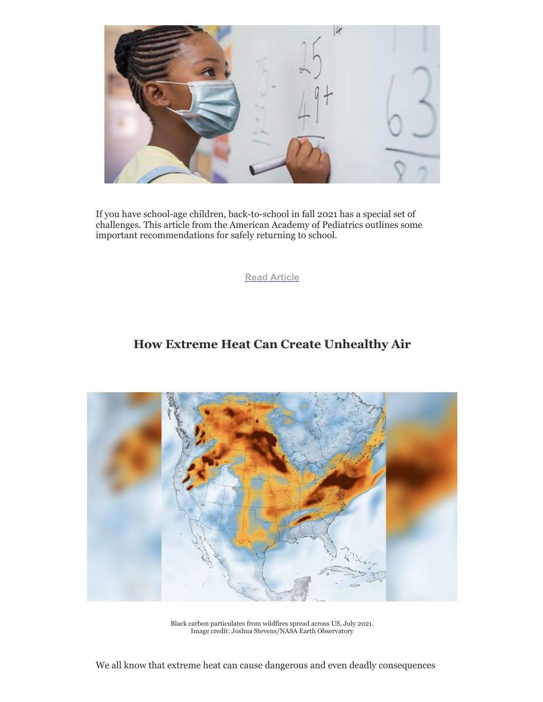

If you have school-age children, back-to-school in fall 2021 has a special set of challenges. This article from the American Academy of Pediatrics outlines some important recommendations for safely returning to school.

**[Read Article](https://r20.rs6.net/tn.jsp?f=001cn0-pohNkYbfVC-bbpBkg0A663iZy0MxwbJzwADTKl9tf5lOMLS6PT4-oenaHdSl763BBnzfG0IITdjYRnjQCrHzH5EcrJm6AUarEqPhKOIpkaPhTEGnCLdq_8w6jDBOglM4Y7CiGJxshc0x0P3FtifPZ0b5JM7C699P1uwamWroMfOz2RV_by4sLkhmnrLqJDd6877QC9YGa2B1etvEe1cryUOME2HRw6Hs0pnU3jhZaC_pJlnfPGRKV1HXtV5bQH44nQSaCL0BmMtRkk-ehRWEic-d-y6r&c=TtZaL9h96a30VBd9mx76JZADkoPVH7dbRc9jCUz2iBU4KpEjZizf2A==&ch=rFlB0cYPwdxBSJ9Xmrnu6cHoRAro2q5UrxURE-JjLBL7wZmz3R3oaw==)**

#### **How Extreme Heat Can Create Unhealthy Air**



Black carbon particulates from wildfires spread across US, July 2021. Image credit: Joshua Stevens/NASA Earth Observatory

We all know that extreme heat can cause dangerous and even deadly consequences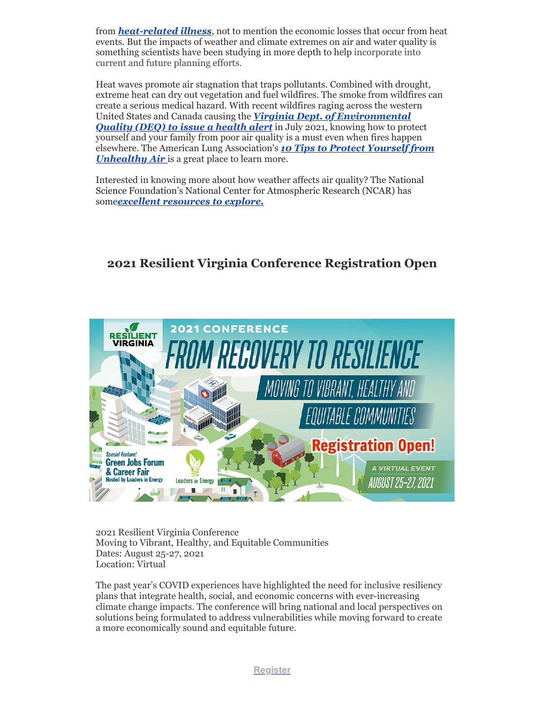from *[heat-related illness](https://r20.rs6.net/tn.jsp?f=001cn0-pohNkYbfVC-bbpBkg0A663iZy0MxwbJzwADTKl9tf5lOMLS6PT4-oenaHdSl9HjolyWnbArb1XR6tZt0cddWS2-tukQC8ipCbgfcT5PYWGA7bAmeCphcrW59cza6Sj506wcPZudCwL0ffX81We7s7_HJEcEvftEYJcaYLTX5nhvKPIy7zJoScPUQEB9N&c=TtZaL9h96a30VBd9mx76JZADkoPVH7dbRc9jCUz2iBU4KpEjZizf2A==&ch=rFlB0cYPwdxBSJ9Xmrnu6cHoRAro2q5UrxURE-JjLBL7wZmz3R3oaw==)*, not to mention the economic losses that occur from heat events. But the impacts of weather and climate extremes on air and water quality is something scientists have been studying in more depth to help incorporate into current and future planning efforts.

Heat waves promote air stagnation that traps pollutants. Combined with drought, extreme heat can dry out vegetation and fuel wildfires. The smoke from wildfires can create a serious medical hazard. With recent wildfires raging across the western United States and Canada causing the *Virginia Dept. of Environmental* **[Quality \(DEQ\) to issue a health alert](https://r20.rs6.net/tn.jsp?f=001cn0-pohNkYbfVC-bbpBkg0A663iZy0MxwbJzwADTKl9tf5lOMLS6PT4-oenaHdSlFGj3fnCxRQTI1h6moTu-QQixveSXqXnatEbw-EsxKSuzTo5BlGwEwsDwtUbJmBJnwmgBJmTQnhBktDbO-8x69u4pka5y-f-G7SnCGbGy8INd_UESqUARdbti_EME4Jhqi8h1_g_DLuLajY2oPNVFCV5w5nbki050ZaiwLmdWLAY7as5djbhGYAVj_SxkDQ2pqpVGNSDo4dYu9TK7RShhszDFYE3dVRebAIIQ2sRNhEZd0pDZhvT3g74FWe2la1SeaG_H1_3wKwE=&c=TtZaL9h96a30VBd9mx76JZADkoPVH7dbRc9jCUz2iBU4KpEjZizf2A==&ch=rFlB0cYPwdxBSJ9Xmrnu6cHoRAro2q5UrxURE-JjLBL7wZmz3R3oaw==)** in July 2021, knowing how to protect yourself and your family from poor air quality is a must even when fires happen [elsewhere. The American Lung Association's](https://r20.rs6.net/tn.jsp?f=001cn0-pohNkYbfVC-bbpBkg0A663iZy0MxwbJzwADTKl9tf5lOMLS6PT4-oenaHdSl7TvTElNGomej9SqOdyfaRQKjOLDxF6gv9CC1lc_u2R9Ywl3PCkhWKTIv3YK8PFw4K9ur56oaS7puOIW4C97KgoqGIdgfWcCEUDe2qiT9MZG37vK3ue2bdGDNWy-F_Hir8OhkVSqpkbZSuwvrZVmWQg==&c=TtZaL9h96a30VBd9mx76JZADkoPVH7dbRc9jCUz2iBU4KpEjZizf2A==&ch=rFlB0cYPwdxBSJ9Xmrnu6cHoRAro2q5UrxURE-JjLBL7wZmz3R3oaw==) *10 Tips to Protect Yourself from Unhealthy Air* is a great place to learn more.

Interested in knowing more about how weather affects air quality? The National Science Foundation's National Center for Atmospheric Research (NCAR) has some*[excellent resources to explore.](https://r20.rs6.net/tn.jsp?f=001cn0-pohNkYbfVC-bbpBkg0A663iZy0MxwbJzwADTKl9tf5lOMLS6PT4-oenaHdSl7S1vXd1W3waXKTbN2hjUZljEo3ymiYHHv8QacXpwtm-gptGeXX0jChLFo8CSeCXd5fL50DvsGNBgYbMF_JmBj_MlXupCU50Ehy3MdvQ8qut9IypIITa3fpgqMqp409Dcxbhs73D16h4fPihIqYVzdy7oc5q05cln&c=TtZaL9h96a30VBd9mx76JZADkoPVH7dbRc9jCUz2iBU4KpEjZizf2A==&ch=rFlB0cYPwdxBSJ9Xmrnu6cHoRAro2q5UrxURE-JjLBL7wZmz3R3oaw==)*

### **2021 Resilient Virginia Conference Registration Open**



2021 Resilient Virginia Conference Moving to Vibrant, Healthy, and Equitable Communities Dates: August 25-27, 2021 Location: Virtual

The past year's COVID experiences have highlighted the need for inclusive resiliency plans that integrate health, social, and economic concerns with ever-increasing climate change impacts. The conference will bring national and local perspectives on solutions being formulated to address vulnerabilities while moving forward to create a more economically sound and equitable future.